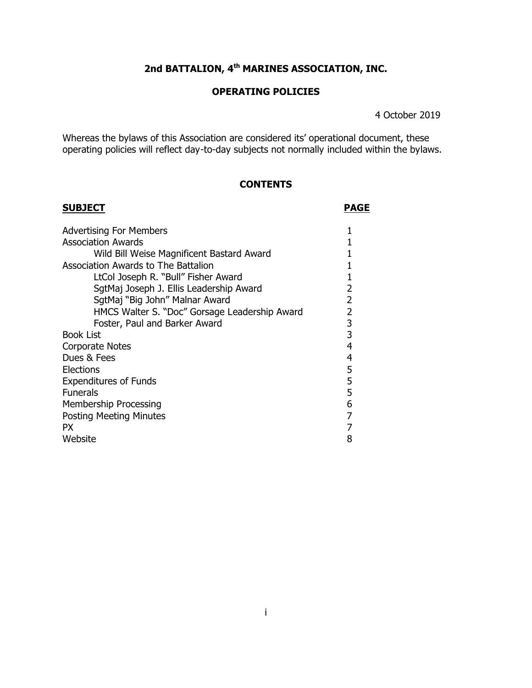# **2nd BATTALION, 4th MARINES ASSOCIATION, INC.**

# **OPERATING POLICIES**

4 October 2019

Whereas the bylaws of this Association are considered its' operational document, these operating policies will reflect day-to-day subjects not normally included within the bylaws.

# **CONTENTS**

| <b>SUBJECT</b>                                | <b>PAGE</b>    |
|-----------------------------------------------|----------------|
| <b>Advertising For Members</b>                |                |
| <b>Association Awards</b>                     |                |
| Wild Bill Weise Magnificent Bastard Award     |                |
| <b>Association Awards to The Battalion</b>    |                |
| LtCol Joseph R. "Bull" Fisher Award           |                |
| SgtMaj Joseph J. Ellis Leadership Award       | 2              |
| SgtMaj "Big John" Malnar Award                | $\overline{2}$ |
| HMCS Walter S. "Doc" Gorsage Leadership Award | 2              |
| Foster, Paul and Barker Award                 | 3              |
| <b>Book List</b>                              | 3              |
| Corporate Notes                               |                |
| Dues & Fees                                   |                |
| Elections                                     |                |
| <b>Expenditures of Funds</b>                  |                |
| <b>Funerals</b>                               | 5              |
| Membership Processing                         |                |
| <b>Posting Meeting Minutes</b>                |                |
| PX.                                           |                |
| Website                                       | 8              |
|                                               |                |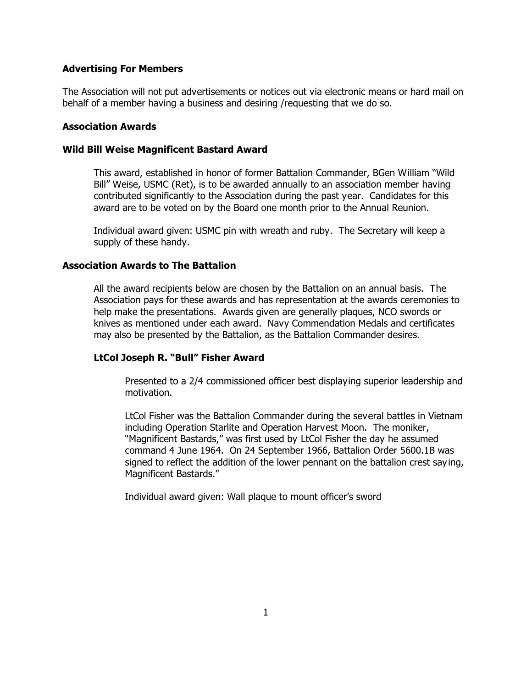# **Advertising For Members**

The Association will not put advertisements or notices out via electronic means or hard mail on behalf of a member having a business and desiring /requesting that we do so.

# **Association Awards**

# **Wild Bill Weise Magnificent Bastard Award**

This award, established in honor of former Battalion Commander, BGen William "Wild Bill" Weise, USMC (Ret), is to be awarded annually to an association member having contributed significantly to the Association during the past year. Candidates for this award are to be voted on by the Board one month prior to the Annual Reunion.

Individual award given: USMC pin with wreath and ruby. The Secretary will keep a supply of these handy.

# **Association Awards to The Battalion**

All the award recipients below are chosen by the Battalion on an annual basis. The Association pays for these awards and has representation at the awards ceremonies to help make the presentations. Awards given are generally plaques, NCO swords or knives as mentioned under each award. Navy Commendation Medals and certificates may also be presented by the Battalion, as the Battalion Commander desires.

## **LtCol Joseph R. "Bull" Fisher Award**

Presented to a 2/4 commissioned officer best displaying superior leadership and motivation.

LtCol Fisher was the Battalion Commander during the several battles in Vietnam including Operation Starlite and Operation Harvest Moon. The moniker, "Magnificent Bastards," was first used by LtCol Fisher the day he assumed command 4 June 1964. On 24 September 1966, Battalion Order 5600.1B was signed to reflect the addition of the lower pennant on the battalion crest say ing, Magnificent Bastards."

Individual award given: Wall plaque to mount officer's sword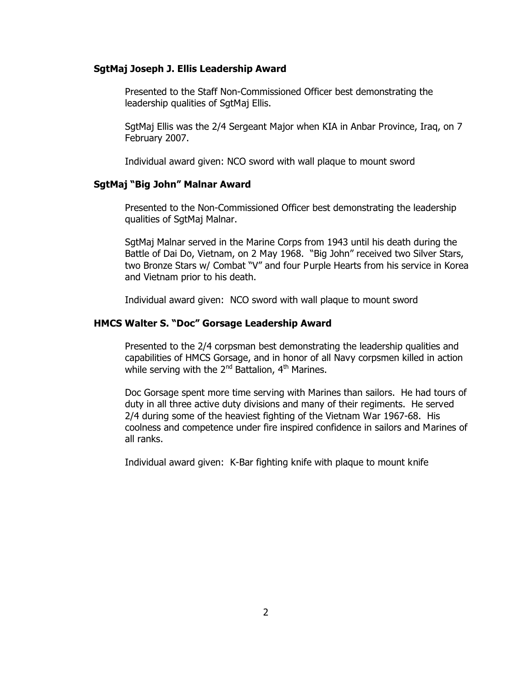### **SgtMaj Joseph J. Ellis Leadership Award**

Presented to the Staff Non-Commissioned Officer best demonstrating the leadership qualities of SgtMaj Ellis.

SgtMaj Ellis was the 2/4 Sergeant Major when KIA in Anbar Province, Iraq, on 7 February 2007.

Individual award given: NCO sword with wall plaque to mount sword

### **SgtMaj "Big John" Malnar Award**

Presented to the Non-Commissioned Officer best demonstrating the leadership qualities of SgtMaj Malnar.

SgtMaj Malnar served in the Marine Corps from 1943 until his death during the Battle of Dai Do, Vietnam, on 2 May 1968. "Big John" received two Silver Stars, two Bronze Stars w/ Combat "V" and four Purple Hearts from his service in Korea and Vietnam prior to his death.

Individual award given: NCO sword with wall plaque to mount sword

#### **HMCS Walter S. "Doc" Gorsage Leadership Award**

Presented to the 2/4 corpsman best demonstrating the leadership qualities and capabilities of HMCS Gorsage, and in honor of all Navy corpsmen killed in action while serving with the 2<sup>nd</sup> Battalion, 4<sup>th</sup> Marines.

Doc Gorsage spent more time serving with Marines than sailors. He had tours of duty in all three active duty divisions and many of their regiments. He served 2/4 during some of the heaviest fighting of the Vietnam War 1967-68. His coolness and competence under fire inspired confidence in sailors and Marines of all ranks.

Individual award given: K-Bar fighting knife with plaque to mount knife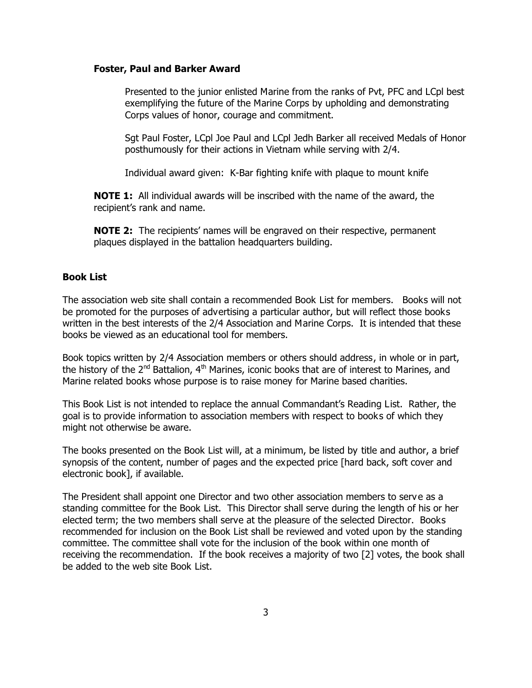#### **Foster, Paul and Barker Award**

Presented to the junior enlisted Marine from the ranks of Pvt, PFC and LCpl best exemplifying the future of the Marine Corps by upholding and demonstrating Corps values of honor, courage and commitment.

Sgt Paul Foster, LCpl Joe Paul and LCpl Jedh Barker all received Medals of Honor posthumously for their actions in Vietnam while serving with 2/4.

Individual award given: K-Bar fighting knife with plaque to mount knife

**NOTE 1:** All individual awards will be inscribed with the name of the award, the recipient's rank and name.

**NOTE 2:** The recipients' names will be engraved on their respective, permanent plaques displayed in the battalion headquarters building.

#### **Book List**

The association web site shall contain a recommended Book List for members. Books will not be promoted for the purposes of advertising a particular author, but will reflect those books written in the best interests of the 2/4 Association and Marine Corps. It is intended that these books be viewed as an educational tool for members.

Book topics written by 2/4 Association members or others should address, in whole or in part, the history of the 2<sup>nd</sup> Battalion, 4<sup>th</sup> Marines, iconic books that are of interest to Marines, and Marine related books whose purpose is to raise money for Marine based charities.

This Book List is not intended to replace the annual Commandant's Reading List. Rather, the goal is to provide information to association members with respect to books of which they might not otherwise be aware.

The books presented on the Book List will, at a minimum, be listed by title and author, a brief synopsis of the content, number of pages and the expected price [hard back, soft cover and electronic book], if available.

The President shall appoint one Director and two other association members to serve as a standing committee for the Book List. This Director shall serve during the length of his or her elected term; the two members shall serve at the pleasure of the selected Director. Books recommended for inclusion on the Book List shall be reviewed and voted upon by the standing committee. The committee shall vote for the inclusion of the book within one month of receiving the recommendation. If the book receives a majority of two [2] votes, the book shall be added to the web site Book List.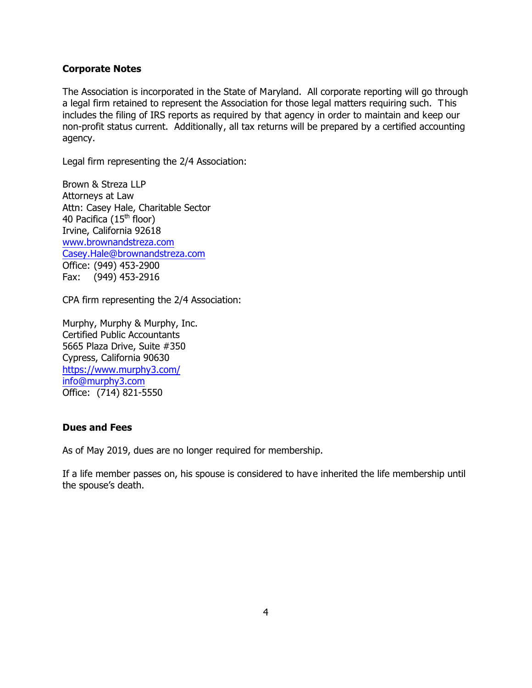## **Corporate Notes**

The Association is incorporated in the State of Maryland. All corporate reporting will go through a legal firm retained to represent the Association for those legal matters requiring such. This includes the filing of IRS reports as required by that agency in order to maintain and keep our non-profit status current. Additionally, all tax returns will be prepared by a certified accounting agency.

Legal firm representing the 2/4 Association:

Brown & Streza LLP Attorneys at Law Attn: Casey Hale, Charitable Sector 40 Pacifica (15<sup>th</sup> floor) Irvine, California 92618 [www.brownandstreza.com](http://www.brownandstreza.com) [Casey.Hale@brownandstreza.com](mailto:Casey.Hale@brownandstreza.com) Office: (949) 453-2900 Fax: (949) 453-2916

CPA firm representing the 2/4 Association:

Murphy, Murphy & Murphy, Inc. Certified Public Accountants 5665 Plaza Drive, Suite #350 Cypress, California 90630 <https://www.murphy3.com/> [info@murphy3.com](mailto:info@murphy3.com) Office: (714) 821-5550

## **Dues and Fees**

As of May 2019, dues are no longer required for membership.

If a life member passes on, his spouse is considered to have inherited the life membership until the spouse's death.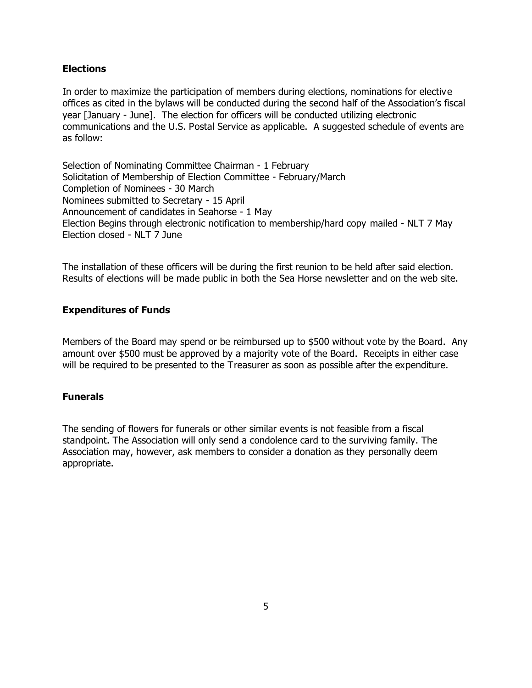# **Elections**

In order to maximize the participation of members during elections, nominations for elective offices as cited in the bylaws will be conducted during the second half of the Association's fiscal year [January - June]. The election for officers will be conducted utilizing electronic communications and the U.S. Postal Service as applicable. A suggested schedule of events are as follow:

Selection of Nominating Committee Chairman - 1 February Solicitation of Membership of Election Committee - February/March Completion of Nominees - 30 March Nominees submitted to Secretary - 15 April Announcement of candidates in Seahorse - 1 May Election Begins through electronic notification to membership/hard copy mailed - NLT 7 May Election closed - NLT 7 June

The installation of these officers will be during the first reunion to be held after said election. Results of elections will be made public in both the Sea Horse newsletter and on the web site.

# **Expenditures of Funds**

Members of the Board may spend or be reimbursed up to \$500 without vote by the Board. Any amount over \$500 must be approved by a majority vote of the Board. Receipts in either case will be required to be presented to the Treasurer as soon as possible after the expenditure.

# **Funerals**

The sending of flowers for funerals or other similar events is not feasible from a fiscal standpoint. The Association will only send a condolence card to the surviving family. The Association may, however, ask members to consider a donation as they personally deem appropriate.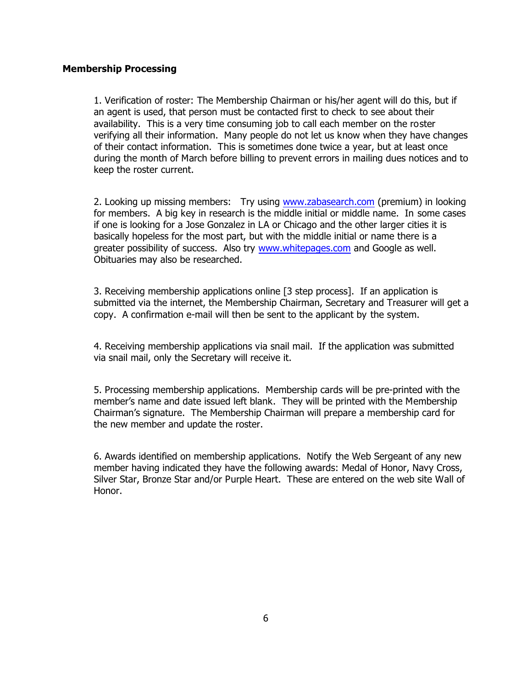# **Membership Processing**

1. Verification of roster: The Membership Chairman or his/her agent will do this, but if an agent is used, that person must be contacted first to check to see about their availability. This is a very time consuming job to call each member on the roster verifying all their information. Many people do not let us know when they have changes of their contact information. This is sometimes done twice a year, but at least once during the month of March before billing to prevent errors in mailing dues notices and to keep the roster current.

2. Looking up missing members: Try using [www.zabasearch.com](http://www.zabasearch.com) (premium) in looking for members. A big key in research is the middle initial or middle name. In some cases if one is looking for a Jose Gonzalez in LA or Chicago and the other larger cities it is basically hopeless for the most part, but with the middle initial or name there is a greater possibility of success. Also try [www.whitepages.com](http://www.whitepages.com) and Google as well. Obituaries may also be researched.

3. Receiving membership applications online [3 step process]. If an application is submitted via the internet, the Membership Chairman, Secretary and Treasurer will get a copy. A confirmation e-mail will then be sent to the applicant by the system.

4. Receiving membership applications via snail mail. If the application was submitted via snail mail, only the Secretary will receive it.

5. Processing membership applications. Membership cards will be pre-printed with the member's name and date issued left blank. They will be printed with the Membership Chairman's signature. The Membership Chairman will prepare a membership card for the new member and update the roster.

6. Awards identified on membership applications. Notify the Web Sergeant of any new member having indicated they have the following awards: Medal of Honor, Navy Cross, Silver Star, Bronze Star and/or Purple Heart. These are entered on the web site Wall of Honor.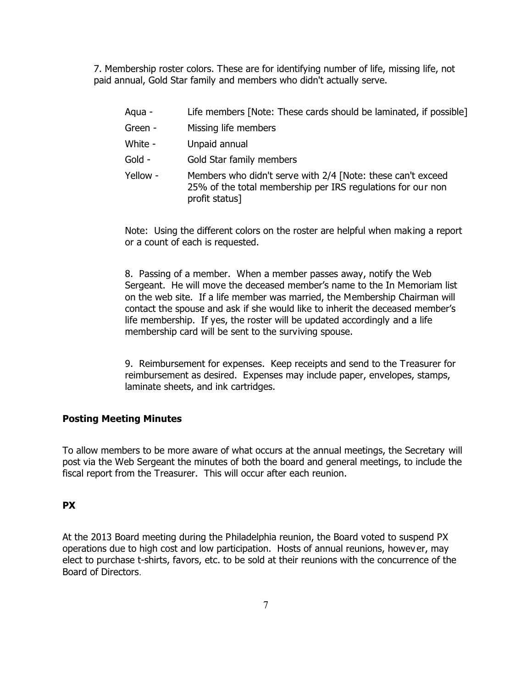7. Membership roster colors. These are for identifying number of life, missing life, not paid annual, Gold Star family and members who didn't actually serve.

profit status]

| Aqua -   | Life members [Note: These cards should be laminated, if possible]                                                          |
|----------|----------------------------------------------------------------------------------------------------------------------------|
| Green -  | Missing life members                                                                                                       |
| White -  | Unpaid annual                                                                                                              |
| Gold -   | Gold Star family members                                                                                                   |
| Yellow - | Members who didn't serve with 2/4 [Note: these can't exceed<br>25% of the total membership per IRS regulations for our non |

Note: Using the different colors on the roster are helpful when making a report or a count of each is requested.

8. Passing of a member. When a member passes away, notify the Web Sergeant. He will move the deceased member's name to the In Memoriam list on the web site. If a life member was married, the Membership Chairman will contact the spouse and ask if she would like to inherit the deceased member's life membership. If yes, the roster will be updated accordingly and a life membership card will be sent to the surviving spouse.

9. Reimbursement for expenses. Keep receipts and send to the Treasurer for reimbursement as desired. Expenses may include paper, envelopes, stamps, laminate sheets, and ink cartridges.

## **Posting Meeting Minutes**

To allow members to be more aware of what occurs at the annual meetings, the Secretary will post via the Web Sergeant the minutes of both the board and general meetings, to include the fiscal report from the Treasurer. This will occur after each reunion.

### **PX**

At the 2013 Board meeting during the Philadelphia reunion, the Board voted to suspend PX operations due to high cost and low participation. Hosts of annual reunions, howev er, may elect to purchase t-shirts, favors, etc. to be sold at their reunions with the concurrence of the Board of Directors.